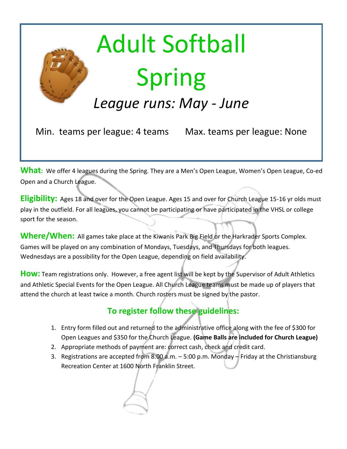

# Adult Softball Spring

# *League runs: May - June*

Min. teams per league: 4 teams Max. teams per league: None

**What**: We offer 4 leagues during the Spring. They are a Men's Open League, Women's Open League, Co-ed Open and a Church League.

**Eligibility:** Ages 18 and over for the Open League. Ages 15 and over for Church League 15-16 yr olds must play in the outfield. For all leagues, you cannot be participating or have participated in the VHSL or college sport for the season.

**Where/When:** All games take place at the Kiwanis Park Big Field or the Harkrader Sports Complex. Games will be played on any combination of Mondays, Tuesdays, and Thursdays for both leagues. Wednesdays are a possibility for the Open League, depending on field availability.

**How:** Team regist[rations only. However, a free agent list will be kept by the Superviso](http://www.google.com/url?sa=i&rct=j&q=&esrc=s&source=images&cd=&cad=rja&uact=8&ved=0CAcQjRxqFQoTCIiSzti_5cgCFYZcPgodLeIOgw&url=http://www.dreamstime.com/stock-image-baseball-player-batting-cartoon-image19842811&psig=AFQjCNFoMzClnOMWZ2gdFJ_QAelFlVw3Dw&ust=1446133064465449)r of Adult Athletics and Athletic Special Events for the Open League. All Church League teams must be made up of players that attend the church at least twice a month. Church rosters must be signed by the pastor.

# **To register follow these guidelines:**

- 1. Entry form filled out and returned to the administrative office along with the fee of \$300 for Open Leagues and \$350 for the Church League. **(Game Balls are included for Church League)**
- 2. Appropriate methods of payment are: correct cash, check and credit card.
- 3. Registrations are accepted from 8:00 a.m. 5:00 p.m. Monday Friday at the Christiansburg Recreation Center at 1600 North Franklin Street.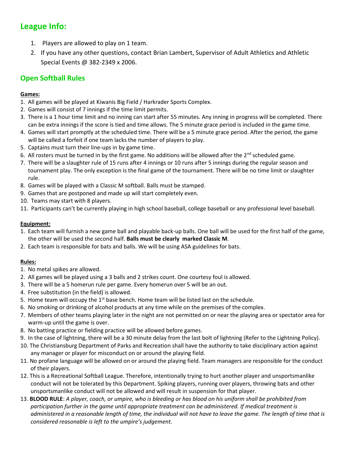## **League Info:**

- 1. Players are allowed to play on 1 team.
- 2. If you have any other questions, contact Brian Lambert, Supervisor of Adult Athletics and Athletic Special Events @ 382-2349 x 2006.

### **Open Softball Rules**

#### **Games:**

- 1. All games will be played at Kiwanis Big Field / Harkrader Sports Complex.
- 2. Games will consist of 7 innings if the time limit permits.
- 3. There is a 1 hour time limit and no inning can start after 55 minutes. Any inning in progress will be completed. There can be extra innings if the score is tied and time allows. The 5 minute grace period is included in the game time.
- 4. Games will start promptly at the scheduled time. There will be a 5 minute grace period. After the period, the game will be called a forfeit if one team lacks the number of players to play.
- 5. Captains must turn their line-ups in by game time.
- 6. All rosters must be turned in by the first game. No additions will be allowed after the  $2^{nd}$  scheduled game.
- 7. There will be a slaughter rule of 15 runs after 4 innings or 10 runs after 5 innings during the regular season and tournament play. The only exception is the final game of the tournament. There will be no time limit or slaughter rule.
- 8. Games will be played with a Classic M softball. Balls must be stamped.
- 9. Games that are postponed and made up will start completely even.
- 10. Teams may start with 8 players.
- 11. Participants can't be currently playing in high school baseball, college baseball or any professional level baseball.

#### **Equipment:**

- 1. Each team will furnish a new game ball and playable back-up balls. One ball will be used for the first half of the game, the other will be used the second half. **Balls must be clearly marked Classic M***.*
- 2. Each team is responsible for bats and balls. We will be using ASA guidelines for bats.

#### **Rules:**

- 1. No metal spikes are allowed.
- 2. All games will be played using a 3 balls and 2 strikes count. One courtesy foul is allowed.
- 3. There will be a 5 homerun rule per game. Every homerun over 5 will be an out.
- 4. Free substitution (in the field) is allowed.
- 5. Home team will occupy the  $1<sup>st</sup>$  base bench. Home team will be listed last on the schedule.
- 6. No smoking or drinking of alcohol products at any time while on the premises of the complex.
- 7. Members of other teams playing later in the night are not permitted on or near the playing area or spectator area for warm-up until the game is over.
- 8. No batting practice or fielding practice will be allowed before games.
- 9. In the case of lightning, there will be a 30 minute delay from the last bolt of lightning (Refer to the Lightning Policy).
- 10. The Christiansburg Department of Parks and Recreation shall have the authority to take disciplinary action against any manager or player for misconduct on or around the playing field.
- 11. No profane language will be allowed on or around the playing field. Team managers are responsible for the conduct of their players.
- 12. This is a Recreational Softball League. Therefore, intentionally trying to hurt another player and unsportsmanlike conduct will not be tolerated by this Department. Spiking players, running over players, throwing bats and other unsportsmanlike conduct will not be allowed and will result in suspension for that player.
- 13. **BLOOD RULE**: *A player, coach, or umpire, who is bleeding or has blood on his uniform shall be prohibited from participation further in the game until appropriate treatment can be administered. If medical treatment is administered in a reasonable length of time, the individual will not have to leave the game. The length of time that is considered reasonable is left to the umpire's judgement.*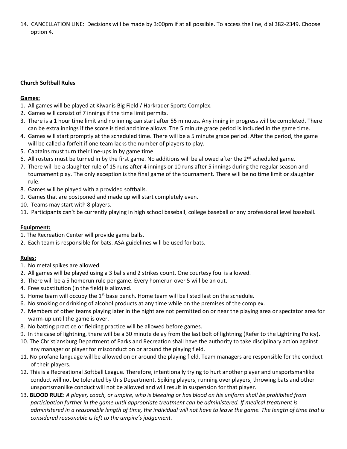14. CANCELLATION LINE: Decisions will be made by 3:00pm if at all possible. To access the line, dial 382-2349. Choose option 4.

#### **Church Softball Rules**

#### **Games:**

- 1. All games will be played at Kiwanis Big Field / Harkrader Sports Complex.
- 2. Games will consist of 7 innings if the time limit permits.
- 3. There is a 1 hour time limit and no inning can start after 55 minutes. Any inning in progress will be completed. There can be extra innings if the score is tied and time allows. The 5 minute grace period is included in the game time.
- 4. Games will start promptly at the scheduled time. There will be a 5 minute grace period. After the period, the game will be called a forfeit if one team lacks the number of players to play.
- 5. Captains must turn their line-ups in by game time.
- 6. All rosters must be turned in by the first game. No additions will be allowed after the  $2^{nd}$  scheduled game.
- 7. There will be a slaughter rule of 15 runs after 4 innings or 10 runs after 5 innings during the regular season and tournament play. The only exception is the final game of the tournament. There will be no time limit or slaughter rule.
- 8. Games will be played with a provided softballs.
- 9. Games that are postponed and made up will start completely even.
- 10. Teams may start with 8 players.
- 11. Participants can't be currently playing in high school baseball, college baseball or any professional level baseball.

#### **Equipment:**

- 1. The Recreation Center will provide game balls.
- 2. Each team is responsible for bats. ASA guidelines will be used for bats.

#### **Rules:**

- 1. No metal spikes are allowed.
- 2. All games will be played using a 3 balls and 2 strikes count. One courtesy foul is allowed.
- 3. There will be a 5 homerun rule per game. Every homerun over 5 will be an out.
- 4. Free substitution (in the field) is allowed.
- 5. Home team will occupy the  $1<sup>st</sup>$  base bench. Home team will be listed last on the schedule.
- 6. No smoking or drinking of alcohol products at any time while on the premises of the complex.
- 7. Members of other teams playing later in the night are not permitted on or near the playing area or spectator area for warm-up until the game is over.
- 8. No batting practice or fielding practice will be allowed before games.
- 9. In the case of lightning, there will be a 30 minute delay from the last bolt of lightning (Refer to the Lightning Policy).
- 10. The Christiansburg Department of Parks and Recreation shall have the authority to take disciplinary action against any manager or player for misconduct on or around the playing field.
- 11. No profane language will be allowed on or around the playing field. Team managers are responsible for the conduct of their players.
- 12. This is a Recreational Softball League. Therefore, intentionally trying to hurt another player and unsportsmanlike conduct will not be tolerated by this Department. Spiking players, running over players, throwing bats and other unsportsmanlike conduct will not be allowed and will result in suspension for that player.
- 13. **BLOOD RULE**: *A player, coach, or umpire, who is bleeding or has blood on his uniform shall be prohibited from participation further in the game until appropriate treatment can be administered. If medical treatment is administered in a reasonable length of time, the individual will not have to leave the game. The length of time that is considered reasonable is left to the umpire's judgement.*